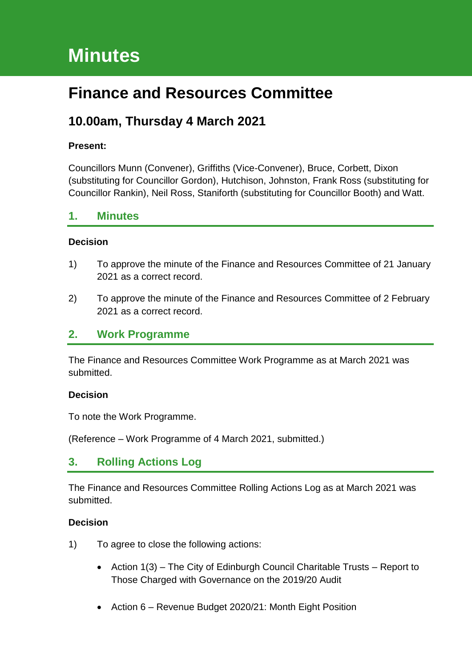# **Minutes**

# **Finance and Resources Committee**

# **10.00am, Thursday 4 March 2021**

#### **Present:**

Councillors Munn (Convener), Griffiths (Vice-Convener), Bruce, Corbett, Dixon (substituting for Councillor Gordon), Hutchison, Johnston, Frank Ross (substituting for Councillor Rankin), Neil Ross, Staniforth (substituting for Councillor Booth) and Watt.

#### **1. Minutes**

#### **Decision**

- 1) To approve the minute of the Finance and Resources Committee of 21 January 2021 as a correct record.
- 2) To approve the minute of the Finance and Resources Committee of 2 February 2021 as a correct record.

#### **2. Work Programme**

The Finance and Resources Committee Work Programme as at March 2021 was submitted.

#### **Decision**

To note the Work Programme.

(Reference – Work Programme of 4 March 2021, submitted.)

### **3. Rolling Actions Log**

The Finance and Resources Committee Rolling Actions Log as at March 2021 was submitted.

- 1) To agree to close the following actions:
	- Action 1(3) The City of Edinburgh Council Charitable Trusts Report to Those Charged with Governance on the 2019/20 Audit
	- Action 6 Revenue Budget 2020/21: Month Eight Position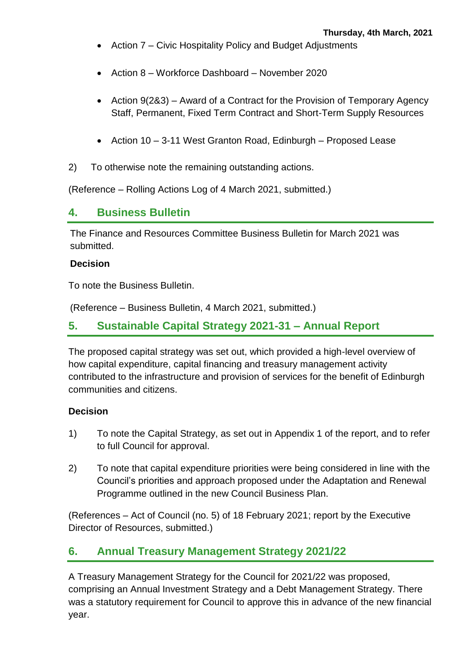- Action 7 Civic Hospitality Policy and Budget Adjustments
- Action 8 Workforce Dashboard November 2020
- Action 9(2&3) Award of a Contract for the Provision of Temporary Agency Staff, Permanent, Fixed Term Contract and Short-Term Supply Resources
- Action 10 3-11 West Granton Road, Edinburgh Proposed Lease
- 2) To otherwise note the remaining outstanding actions.

(Reference – Rolling Actions Log of 4 March 2021, submitted.)

### **4. Business Bulletin**

The Finance and Resources Committee Business Bulletin for March 2021 was submitted.

#### **Decision**

To note the Business Bulletin.

(Reference – Business Bulletin, 4 March 2021, submitted.)

### **5. Sustainable Capital Strategy 2021-31 – Annual Report**

The proposed capital strategy was set out, which provided a high-level overview of how capital expenditure, capital financing and treasury management activity contributed to the infrastructure and provision of services for the benefit of Edinburgh communities and citizens.

#### **Decision**

- 1) To note the Capital Strategy, as set out in Appendix 1 of the report, and to refer to full Council for approval.
- 2) To note that capital expenditure priorities were being considered in line with the Council's priorities and approach proposed under the Adaptation and Renewal Programme outlined in the new Council Business Plan.

(References – Act of Council (no. 5) of 18 February 2021; report by the Executive Director of Resources, submitted.)

### **6. Annual Treasury Management Strategy 2021/22**

A Treasury Management Strategy for the Council for 2021/22 was proposed, comprising an Annual Investment Strategy and a Debt Management Strategy. There was a statutory requirement for Council to approve this in advance of the new financial year.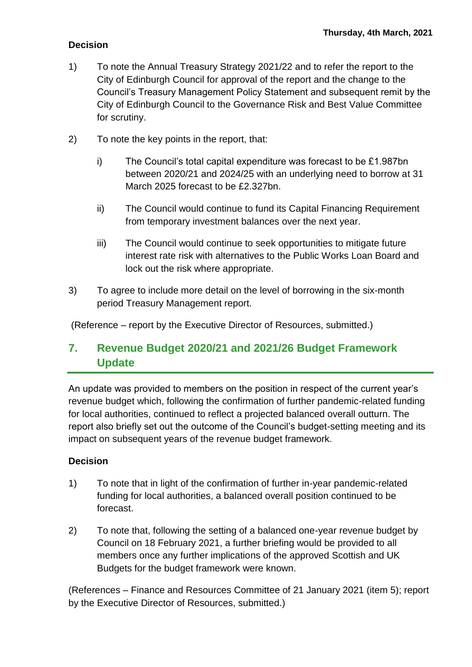#### **Decision**

- 1) To note the Annual Treasury Strategy 2021/22 and to refer the report to the City of Edinburgh Council for approval of the report and the change to the Council's Treasury Management Policy Statement and subsequent remit by the City of Edinburgh Council to the Governance Risk and Best Value Committee for scrutiny.
- 2) To note the key points in the report, that:
	- i) The Council's total capital expenditure was forecast to be £1.987bn between 2020/21 and 2024/25 with an underlying need to borrow at 31 March 2025 forecast to be £2.327bn.
	- ii) The Council would continue to fund its Capital Financing Requirement from temporary investment balances over the next year.
	- iii) The Council would continue to seek opportunities to mitigate future interest rate risk with alternatives to the Public Works Loan Board and lock out the risk where appropriate.
- 3) To agree to include more detail on the level of borrowing in the six-month period Treasury Management report.

(Reference – report by the Executive Director of Resources, submitted.)

# **7. Revenue Budget 2020/21 and 2021/26 Budget Framework Update**

An update was provided to members on the position in respect of the current year's revenue budget which, following the confirmation of further pandemic-related funding for local authorities, continued to reflect a projected balanced overall outturn. The report also briefly set out the outcome of the Council's budget-setting meeting and its impact on subsequent years of the revenue budget framework.

#### **Decision**

- 1) To note that in light of the confirmation of further in-year pandemic-related funding for local authorities, a balanced overall position continued to be forecast.
- 2) To note that, following the setting of a balanced one-year revenue budget by Council on 18 February 2021, a further briefing would be provided to all members once any further implications of the approved Scottish and UK Budgets for the budget framework were known.

(References – Finance and Resources Committee of 21 January 2021 (item 5); report by the Executive Director of Resources, submitted.)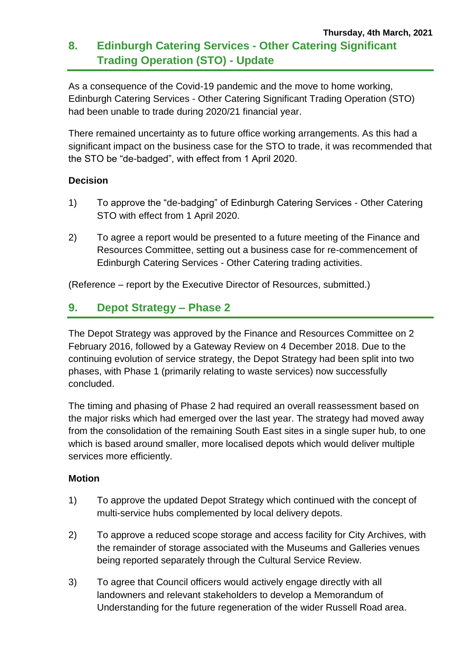As a consequence of the Covid-19 pandemic and the move to home working, Edinburgh Catering Services - Other Catering Significant Trading Operation (STO) had been unable to trade during 2020/21 financial year.

There remained uncertainty as to future office working arrangements. As this had a significant impact on the business case for the STO to trade, it was recommended that the STO be "de-badged", with effect from 1 April 2020.

#### **Decision**

- 1) To approve the "de-badging" of Edinburgh Catering Services Other Catering STO with effect from 1 April 2020.
- 2) To agree a report would be presented to a future meeting of the Finance and Resources Committee, setting out a business case for re-commencement of Edinburgh Catering Services - Other Catering trading activities.

(Reference – report by the Executive Director of Resources, submitted.)

# **9. Depot Strategy – Phase 2**

The Depot Strategy was approved by the Finance and Resources Committee on 2 February 2016, followed by a Gateway Review on 4 December 2018. Due to the continuing evolution of service strategy, the Depot Strategy had been split into two phases, with Phase 1 (primarily relating to waste services) now successfully concluded.

The timing and phasing of Phase 2 had required an overall reassessment based on the major risks which had emerged over the last year. The strategy had moved away from the consolidation of the remaining South East sites in a single super hub, to one which is based around smaller, more localised depots which would deliver multiple services more efficiently.

#### **Motion**

- 1) To approve the updated Depot Strategy which continued with the concept of multi-service hubs complemented by local delivery depots.
- 2) To approve a reduced scope storage and access facility for City Archives, with the remainder of storage associated with the Museums and Galleries venues being reported separately through the Cultural Service Review.
- 3) To agree that Council officers would actively engage directly with all landowners and relevant stakeholders to develop a Memorandum of Understanding for the future regeneration of the wider Russell Road area.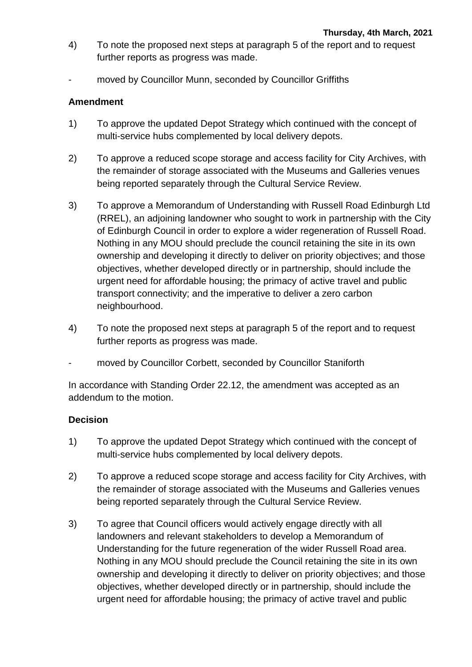- 4) To note the proposed next steps at paragraph 5 of the report and to request further reports as progress was made.
- moved by Councillor Munn, seconded by Councillor Griffiths

#### **Amendment**

- 1) To approve the updated Depot Strategy which continued with the concept of multi-service hubs complemented by local delivery depots.
- 2) To approve a reduced scope storage and access facility for City Archives, with the remainder of storage associated with the Museums and Galleries venues being reported separately through the Cultural Service Review.
- 3) To approve a Memorandum of Understanding with Russell Road Edinburgh Ltd (RREL), an adjoining landowner who sought to work in partnership with the City of Edinburgh Council in order to explore a wider regeneration of Russell Road. Nothing in any MOU should preclude the council retaining the site in its own ownership and developing it directly to deliver on priority objectives; and those objectives, whether developed directly or in partnership, should include the urgent need for affordable housing; the primacy of active travel and public transport connectivity; and the imperative to deliver a zero carbon neighbourhood.
- 4) To note the proposed next steps at paragraph 5 of the report and to request further reports as progress was made.
- moved by Councillor Corbett, seconded by Councillor Staniforth

In accordance with Standing Order 22.12, the amendment was accepted as an addendum to the motion.

- 1) To approve the updated Depot Strategy which continued with the concept of multi-service hubs complemented by local delivery depots.
- 2) To approve a reduced scope storage and access facility for City Archives, with the remainder of storage associated with the Museums and Galleries venues being reported separately through the Cultural Service Review.
- 3) To agree that Council officers would actively engage directly with all landowners and relevant stakeholders to develop a Memorandum of Understanding for the future regeneration of the wider Russell Road area. Nothing in any MOU should preclude the Council retaining the site in its own ownership and developing it directly to deliver on priority objectives; and those objectives, whether developed directly or in partnership, should include the urgent need for affordable housing; the primacy of active travel and public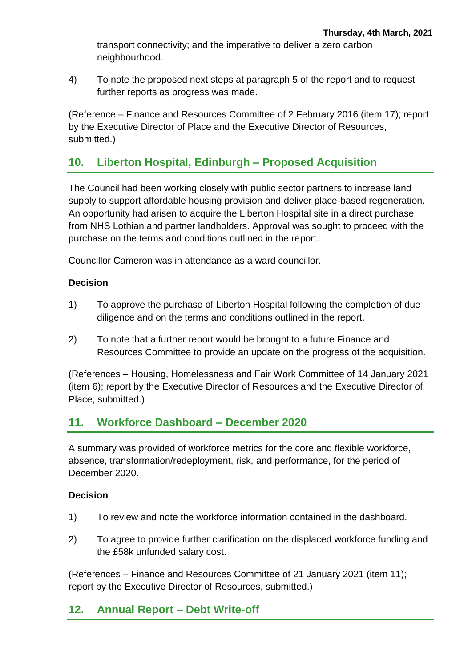transport connectivity; and the imperative to deliver a zero carbon neighbourhood.

4) To note the proposed next steps at paragraph 5 of the report and to request further reports as progress was made.

(Reference – Finance and Resources Committee of 2 February 2016 (item 17); report by the Executive Director of Place and the Executive Director of Resources, submitted.)

### **10. Liberton Hospital, Edinburgh – Proposed Acquisition**

The Council had been working closely with public sector partners to increase land supply to support affordable housing provision and deliver place-based regeneration. An opportunity had arisen to acquire the Liberton Hospital site in a direct purchase from NHS Lothian and partner landholders. Approval was sought to proceed with the purchase on the terms and conditions outlined in the report.

Councillor Cameron was in attendance as a ward councillor.

#### **Decision**

- 1) To approve the purchase of Liberton Hospital following the completion of due diligence and on the terms and conditions outlined in the report.
- 2) To note that a further report would be brought to a future Finance and Resources Committee to provide an update on the progress of the acquisition.

(References – Housing, Homelessness and Fair Work Committee of 14 January 2021 (item 6); report by the Executive Director of Resources and the Executive Director of Place, submitted.)

### **11. Workforce Dashboard – December 2020**

A summary was provided of workforce metrics for the core and flexible workforce, absence, transformation/redeployment, risk, and performance, for the period of December 2020.

#### **Decision**

- 1) To review and note the workforce information contained in the dashboard.
- 2) To agree to provide further clarification on the displaced workforce funding and the £58k unfunded salary cost.

(References – Finance and Resources Committee of 21 January 2021 (item 11); report by the Executive Director of Resources, submitted.)

#### **12. Annual Report – Debt Write-off**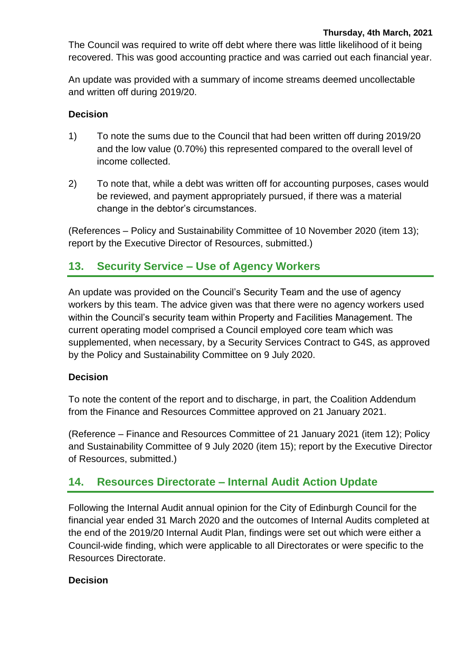The Council was required to write off debt where there was little likelihood of it being recovered. This was good accounting practice and was carried out each financial year.

An update was provided with a summary of income streams deemed uncollectable and written off during 2019/20.

#### **Decision**

- 1) To note the sums due to the Council that had been written off during 2019/20 and the low value (0.70%) this represented compared to the overall level of income collected.
- 2) To note that, while a debt was written off for accounting purposes, cases would be reviewed, and payment appropriately pursued, if there was a material change in the debtor's circumstances.

(References – Policy and Sustainability Committee of 10 November 2020 (item 13); report by the Executive Director of Resources, submitted.)

# **13. Security Service – Use of Agency Workers**

An update was provided on the Council's Security Team and the use of agency workers by this team. The advice given was that there were no agency workers used within the Council's security team within Property and Facilities Management. The current operating model comprised a Council employed core team which was supplemented, when necessary, by a Security Services Contract to G4S, as approved by the Policy and Sustainability Committee on 9 July 2020.

#### **Decision**

To note the content of the report and to discharge, in part, the Coalition Addendum from the Finance and Resources Committee approved on 21 January 2021.

(Reference – Finance and Resources Committee of 21 January 2021 (item 12); Policy and Sustainability Committee of 9 July 2020 (item 15); report by the Executive Director of Resources, submitted.)

### **14. Resources Directorate – Internal Audit Action Update**

Following the Internal Audit annual opinion for the City of Edinburgh Council for the financial year ended 31 March 2020 and the outcomes of Internal Audits completed at the end of the 2019/20 Internal Audit Plan, findings were set out which were either a Council-wide finding, which were applicable to all Directorates or were specific to the Resources Directorate.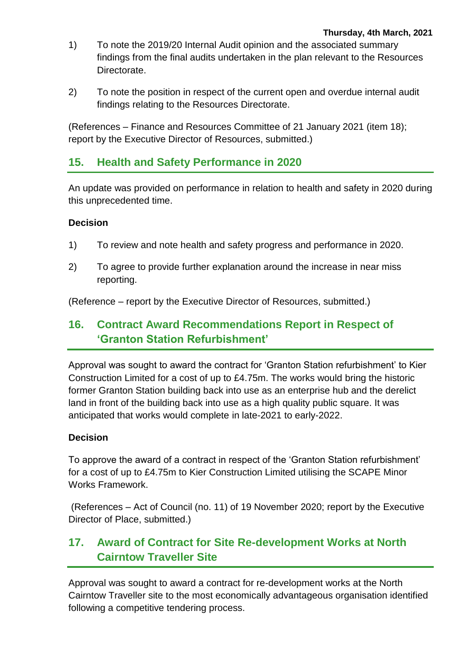- 1) To note the 2019/20 Internal Audit opinion and the associated summary findings from the final audits undertaken in the plan relevant to the Resources Directorate.
- 2) To note the position in respect of the current open and overdue internal audit findings relating to the Resources Directorate.

(References – Finance and Resources Committee of 21 January 2021 (item 18); report by the Executive Director of Resources, submitted.)

### **15. Health and Safety Performance in 2020**

An update was provided on performance in relation to health and safety in 2020 during this unprecedented time.

#### **Decision**

- 1) To review and note health and safety progress and performance in 2020.
- 2) To agree to provide further explanation around the increase in near miss reporting.

(Reference – report by the Executive Director of Resources, submitted.)

### **16. Contract Award Recommendations Report in Respect of 'Granton Station Refurbishment'**

Approval was sought to award the contract for 'Granton Station refurbishment' to Kier Construction Limited for a cost of up to £4.75m. The works would bring the historic former Granton Station building back into use as an enterprise hub and the derelict land in front of the building back into use as a high quality public square. It was anticipated that works would complete in late-2021 to early-2022.

#### **Decision**

To approve the award of a contract in respect of the 'Granton Station refurbishment' for a cost of up to £4.75m to Kier Construction Limited utilising the SCAPE Minor Works Framework.

(References – Act of Council (no. 11) of 19 November 2020; report by the Executive Director of Place, submitted.)

# **17. Award of Contract for Site Re-development Works at North Cairntow Traveller Site**

Approval was sought to award a contract for re-development works at the North Cairntow Traveller site to the most economically advantageous organisation identified following a competitive tendering process.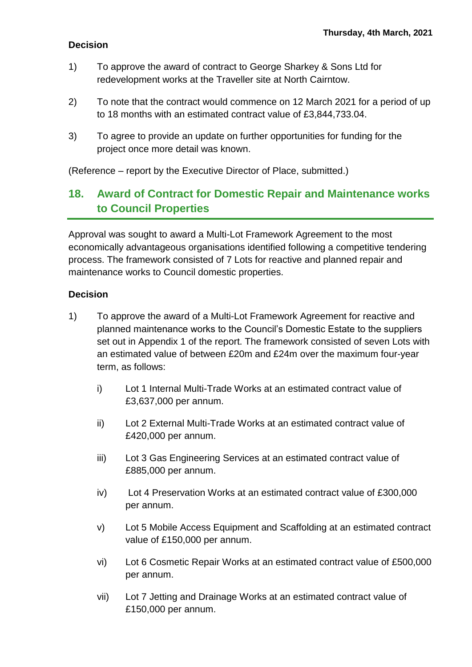#### **Decision**

- 1) To approve the award of contract to George Sharkey & Sons Ltd for redevelopment works at the Traveller site at North Cairntow.
- 2) To note that the contract would commence on 12 March 2021 for a period of up to 18 months with an estimated contract value of £3,844,733.04.
- 3) To agree to provide an update on further opportunities for funding for the project once more detail was known.

(Reference – report by the Executive Director of Place, submitted.)

# **18. Award of Contract for Domestic Repair and Maintenance works to Council Properties**

Approval was sought to award a Multi-Lot Framework Agreement to the most economically advantageous organisations identified following a competitive tendering process. The framework consisted of 7 Lots for reactive and planned repair and maintenance works to Council domestic properties.

- 1) To approve the award of a Multi-Lot Framework Agreement for reactive and planned maintenance works to the Council's Domestic Estate to the suppliers set out in Appendix 1 of the report. The framework consisted of seven Lots with an estimated value of between £20m and £24m over the maximum four-year term, as follows:
	- i) Lot 1 Internal Multi-Trade Works at an estimated contract value of £3,637,000 per annum.
	- ii) Lot 2 External Multi-Trade Works at an estimated contract value of £420,000 per annum.
	- iii) Lot 3 Gas Engineering Services at an estimated contract value of £885,000 per annum.
	- iv) Lot 4 Preservation Works at an estimated contract value of £300,000 per annum.
	- v) Lot 5 Mobile Access Equipment and Scaffolding at an estimated contract value of £150,000 per annum.
	- vi) Lot 6 Cosmetic Repair Works at an estimated contract value of £500,000 per annum.
	- vii) Lot 7 Jetting and Drainage Works at an estimated contract value of £150,000 per annum.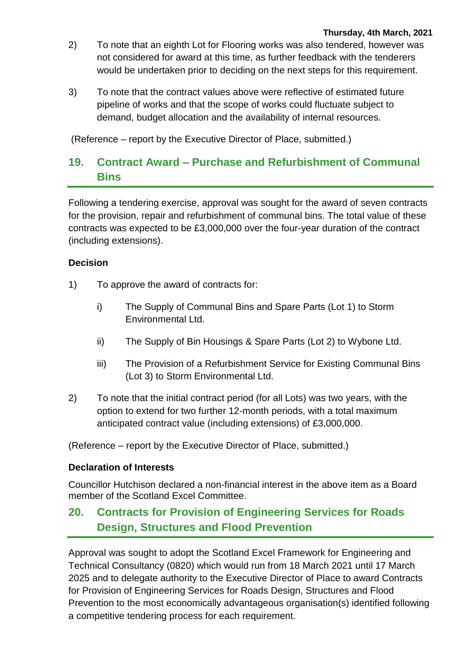- 2) To note that an eighth Lot for Flooring works was also tendered, however was not considered for award at this time, as further feedback with the tenderers would be undertaken prior to deciding on the next steps for this requirement.
- 3) To note that the contract values above were reflective of estimated future pipeline of works and that the scope of works could fluctuate subject to demand, budget allocation and the availability of internal resources.

(Reference – report by the Executive Director of Place, submitted.)

# **19. Contract Award – Purchase and Refurbishment of Communal Bins**

Following a tendering exercise, approval was sought for the award of seven contracts for the provision, repair and refurbishment of communal bins. The total value of these contracts was expected to be £3,000,000 over the four-year duration of the contract (including extensions).

#### **Decision**

- 1) To approve the award of contracts for:
	- i) The Supply of Communal Bins and Spare Parts (Lot 1) to Storm Environmental Ltd.
	- ii) The Supply of Bin Housings & Spare Parts (Lot 2) to Wybone Ltd.
	- iii) The Provision of a Refurbishment Service for Existing Communal Bins (Lot 3) to Storm Environmental Ltd.
- 2) To note that the initial contract period (for all Lots) was two years, with the option to extend for two further 12-month periods, with a total maximum anticipated contract value (including extensions) of £3,000,000.

(Reference – report by the Executive Director of Place, submitted.)

#### **Declaration of Interests**

Councillor Hutchison declared a non-financial interest in the above item as a Board member of the Scotland Excel Committee.

# **20. Contracts for Provision of Engineering Services for Roads Design, Structures and Flood Prevention**

Approval was sought to adopt the Scotland Excel Framework for Engineering and Technical Consultancy (0820) which would run from 18 March 2021 until 17 March 2025 and to delegate authority to the Executive Director of Place to award Contracts for Provision of Engineering Services for Roads Design, Structures and Flood Prevention to the most economically advantageous organisation(s) identified following a competitive tendering process for each requirement.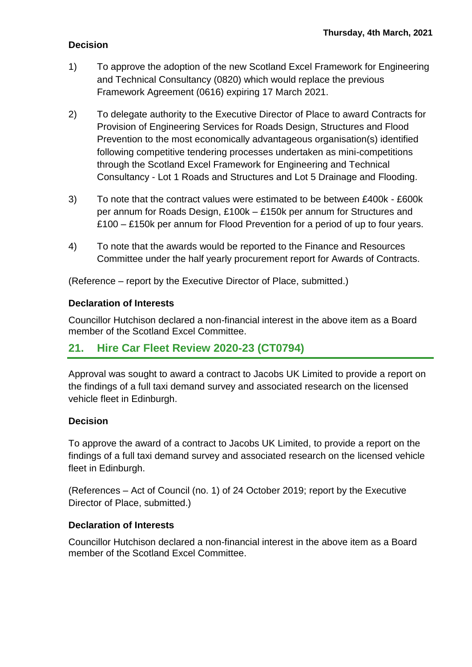#### **Decision**

- 1) To approve the adoption of the new Scotland Excel Framework for Engineering and Technical Consultancy (0820) which would replace the previous Framework Agreement (0616) expiring 17 March 2021.
- 2) To delegate authority to the Executive Director of Place to award Contracts for Provision of Engineering Services for Roads Design, Structures and Flood Prevention to the most economically advantageous organisation(s) identified following competitive tendering processes undertaken as mini-competitions through the Scotland Excel Framework for Engineering and Technical Consultancy - Lot 1 Roads and Structures and Lot 5 Drainage and Flooding.
- 3) To note that the contract values were estimated to be between £400k £600k per annum for Roads Design, £100k – £150k per annum for Structures and £100 – £150k per annum for Flood Prevention for a period of up to four years.
- 4) To note that the awards would be reported to the Finance and Resources Committee under the half yearly procurement report for Awards of Contracts.

(Reference – report by the Executive Director of Place, submitted.)

#### **Declaration of Interests**

Councillor Hutchison declared a non-financial interest in the above item as a Board member of the Scotland Excel Committee.

### **21. Hire Car Fleet Review 2020-23 (CT0794)**

Approval was sought to award a contract to Jacobs UK Limited to provide a report on the findings of a full taxi demand survey and associated research on the licensed vehicle fleet in Edinburgh.

#### **Decision**

To approve the award of a contract to Jacobs UK Limited, to provide a report on the findings of a full taxi demand survey and associated research on the licensed vehicle fleet in Edinburgh.

(References – Act of Council (no. 1) of 24 October 2019; report by the Executive Director of Place, submitted.)

#### **Declaration of Interests**

Councillor Hutchison declared a non-financial interest in the above item as a Board member of the Scotland Excel Committee.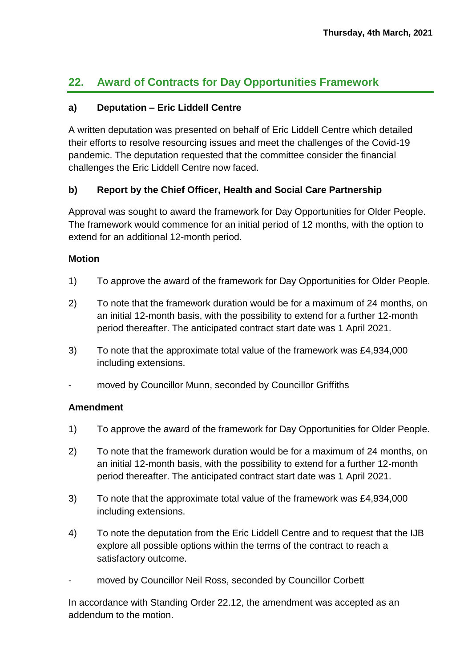# **22. Award of Contracts for Day Opportunities Framework**

#### **a) Deputation – Eric Liddell Centre**

A written deputation was presented on behalf of Eric Liddell Centre which detailed their efforts to resolve resourcing issues and meet the challenges of the Covid-19 pandemic. The deputation requested that the committee consider the financial challenges the Eric Liddell Centre now faced.

#### **b) Report by the Chief Officer, Health and Social Care Partnership**

Approval was sought to award the framework for Day Opportunities for Older People. The framework would commence for an initial period of 12 months, with the option to extend for an additional 12-month period.

#### **Motion**

- 1) To approve the award of the framework for Day Opportunities for Older People.
- 2) To note that the framework duration would be for a maximum of 24 months, on an initial 12-month basis, with the possibility to extend for a further 12-month period thereafter. The anticipated contract start date was 1 April 2021.
- 3) To note that the approximate total value of the framework was £4,934,000 including extensions.
- moved by Councillor Munn, seconded by Councillor Griffiths

#### **Amendment**

- 1) To approve the award of the framework for Day Opportunities for Older People.
- 2) To note that the framework duration would be for a maximum of 24 months, on an initial 12-month basis, with the possibility to extend for a further 12-month period thereafter. The anticipated contract start date was 1 April 2021.
- 3) To note that the approximate total value of the framework was £4,934,000 including extensions.
- 4) To note the deputation from the Eric Liddell Centre and to request that the IJB explore all possible options within the terms of the contract to reach a satisfactory outcome.
- moved by Councillor Neil Ross, seconded by Councillor Corbett

In accordance with Standing Order 22.12, the amendment was accepted as an addendum to the motion.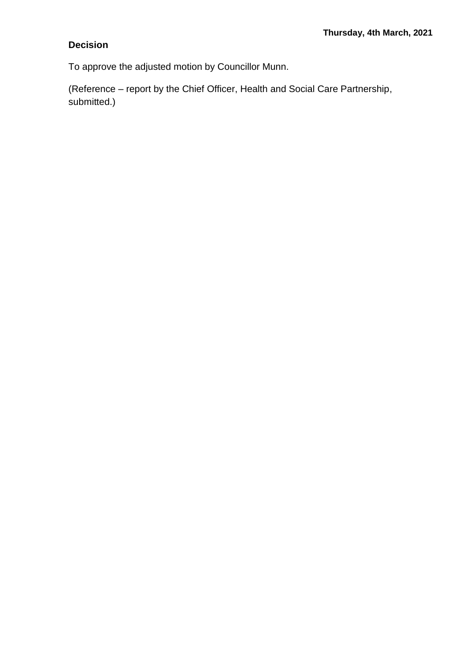### **Decision**

To approve the adjusted motion by Councillor Munn.

(Reference – report by the Chief Officer, Health and Social Care Partnership, submitted.)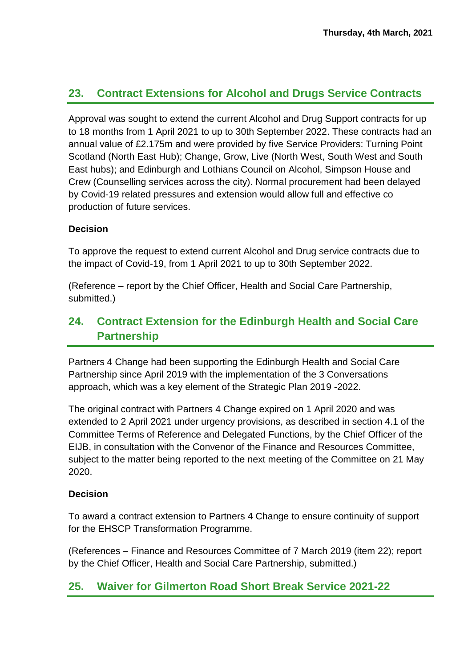# **23. Contract Extensions for Alcohol and Drugs Service Contracts**

Approval was sought to extend the current Alcohol and Drug Support contracts for up to 18 months from 1 April 2021 to up to 30th September 2022. These contracts had an annual value of £2.175m and were provided by five Service Providers: Turning Point Scotland (North East Hub); Change, Grow, Live (North West, South West and South East hubs); and Edinburgh and Lothians Council on Alcohol, Simpson House and Crew (Counselling services across the city). Normal procurement had been delayed by Covid-19 related pressures and extension would allow full and effective co production of future services.

#### **Decision**

To approve the request to extend current Alcohol and Drug service contracts due to the impact of Covid-19, from 1 April 2021 to up to 30th September 2022.

(Reference – report by the Chief Officer, Health and Social Care Partnership, submitted.)

# **24. Contract Extension for the Edinburgh Health and Social Care Partnership**

Partners 4 Change had been supporting the Edinburgh Health and Social Care Partnership since April 2019 with the implementation of the 3 Conversations approach, which was a key element of the Strategic Plan 2019 -2022.

The original contract with Partners 4 Change expired on 1 April 2020 and was extended to 2 April 2021 under urgency provisions, as described in section 4.1 of the Committee Terms of Reference and Delegated Functions, by the Chief Officer of the EIJB, in consultation with the Convenor of the Finance and Resources Committee, subject to the matter being reported to the next meeting of the Committee on 21 May 2020.

#### **Decision**

To award a contract extension to Partners 4 Change to ensure continuity of support for the EHSCP Transformation Programme.

(References – Finance and Resources Committee of 7 March 2019 (item 22); report by the Chief Officer, Health and Social Care Partnership, submitted.)

### **25. Waiver for Gilmerton Road Short Break Service 2021-22**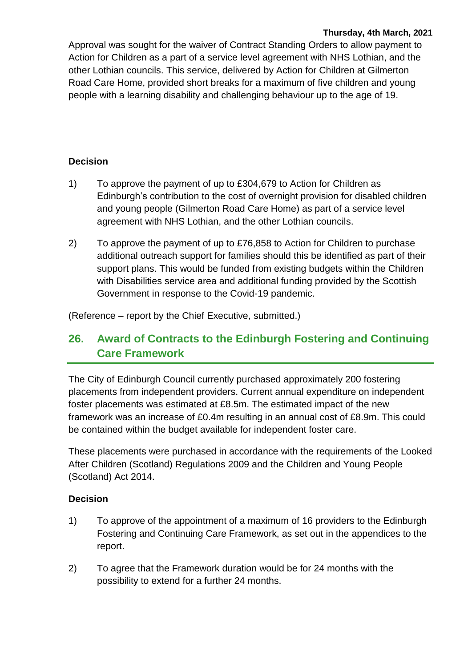#### **Thursday, 4th March, 2021**

Approval was sought for the waiver of Contract Standing Orders to allow payment to Action for Children as a part of a service level agreement with NHS Lothian, and the other Lothian councils. This service, delivered by Action for Children at Gilmerton Road Care Home, provided short breaks for a maximum of five children and young people with a learning disability and challenging behaviour up to the age of 19.

#### **Decision**

- 1) To approve the payment of up to £304,679 to Action for Children as Edinburgh's contribution to the cost of overnight provision for disabled children and young people (Gilmerton Road Care Home) as part of a service level agreement with NHS Lothian, and the other Lothian councils.
- 2) To approve the payment of up to £76,858 to Action for Children to purchase additional outreach support for families should this be identified as part of their support plans. This would be funded from existing budgets within the Children with Disabilities service area and additional funding provided by the Scottish Government in response to the Covid-19 pandemic.

(Reference – report by the Chief Executive, submitted.)

# **26. Award of Contracts to the Edinburgh Fostering and Continuing Care Framework**

The City of Edinburgh Council currently purchased approximately 200 fostering placements from independent providers. Current annual expenditure on independent foster placements was estimated at £8.5m. The estimated impact of the new framework was an increase of £0.4m resulting in an annual cost of £8.9m. This could be contained within the budget available for independent foster care.

These placements were purchased in accordance with the requirements of the Looked After Children (Scotland) Regulations 2009 and the Children and Young People (Scotland) Act 2014.

- 1) To approve of the appointment of a maximum of 16 providers to the Edinburgh Fostering and Continuing Care Framework, as set out in the appendices to the report.
- 2) To agree that the Framework duration would be for 24 months with the possibility to extend for a further 24 months.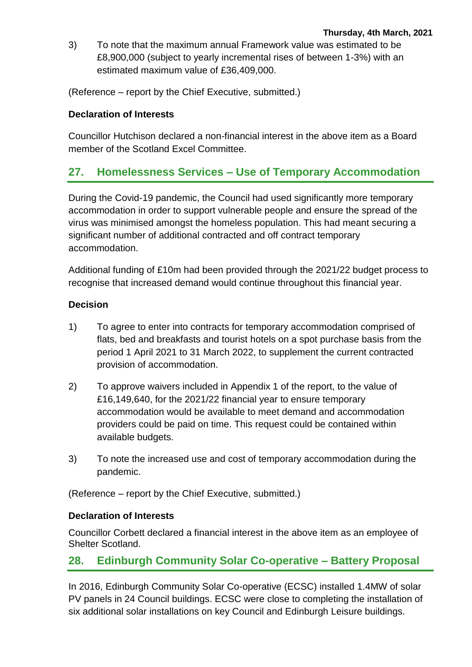3) To note that the maximum annual Framework value was estimated to be £8,900,000 (subject to yearly incremental rises of between 1-3%) with an estimated maximum value of £36,409,000.

(Reference – report by the Chief Executive, submitted.)

#### **Declaration of Interests**

Councillor Hutchison declared a non-financial interest in the above item as a Board member of the Scotland Excel Committee.

# **27. Homelessness Services – Use of Temporary Accommodation**

During the Covid-19 pandemic, the Council had used significantly more temporary accommodation in order to support vulnerable people and ensure the spread of the virus was minimised amongst the homeless population. This had meant securing a significant number of additional contracted and off contract temporary accommodation.

Additional funding of £10m had been provided through the 2021/22 budget process to recognise that increased demand would continue throughout this financial year.

#### **Decision**

- 1) To agree to enter into contracts for temporary accommodation comprised of flats, bed and breakfasts and tourist hotels on a spot purchase basis from the period 1 April 2021 to 31 March 2022, to supplement the current contracted provision of accommodation.
- 2) To approve waivers included in Appendix 1 of the report, to the value of £16,149,640, for the 2021/22 financial year to ensure temporary accommodation would be available to meet demand and accommodation providers could be paid on time. This request could be contained within available budgets.
- 3) To note the increased use and cost of temporary accommodation during the pandemic.

(Reference – report by the Chief Executive, submitted.)

#### **Declaration of Interests**

Councillor Corbett declared a financial interest in the above item as an employee of Shelter Scotland.

# **28. Edinburgh Community Solar Co-operative – Battery Proposal**

In 2016, Edinburgh Community Solar Co-operative (ECSC) installed 1.4MW of solar PV panels in 24 Council buildings. ECSC were close to completing the installation of six additional solar installations on key Council and Edinburgh Leisure buildings.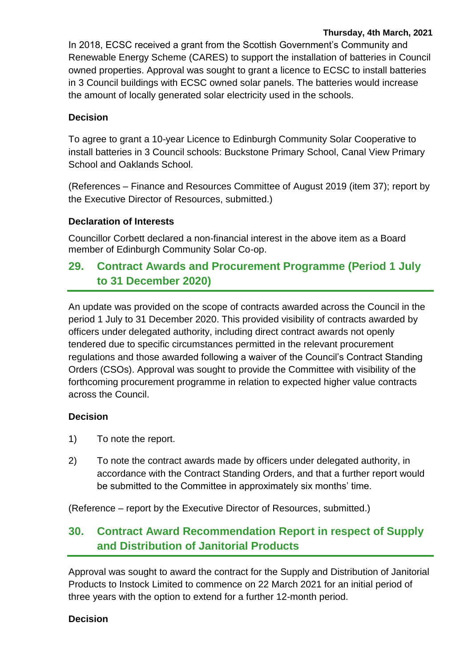#### **Thursday, 4th March, 2021**

In 2018, ECSC received a grant from the Scottish Government's Community and Renewable Energy Scheme (CARES) to support the installation of batteries in Council owned properties. Approval was sought to grant a licence to ECSC to install batteries in 3 Council buildings with ECSC owned solar panels. The batteries would increase the amount of locally generated solar electricity used in the schools.

#### **Decision**

To agree to grant a 10-year Licence to Edinburgh Community Solar Cooperative to install batteries in 3 Council schools: Buckstone Primary School, Canal View Primary School and Oaklands School.

(References – Finance and Resources Committee of August 2019 (item 37); report by the Executive Director of Resources, submitted.)

#### **Declaration of Interests**

Councillor Corbett declared a non-financial interest in the above item as a Board member of Edinburgh Community Solar Co-op.

### **29. Contract Awards and Procurement Programme (Period 1 July to 31 December 2020)**

An update was provided on the scope of contracts awarded across the Council in the period 1 July to 31 December 2020. This provided visibility of contracts awarded by officers under delegated authority, including direct contract awards not openly tendered due to specific circumstances permitted in the relevant procurement regulations and those awarded following a waiver of the Council's Contract Standing Orders (CSOs). Approval was sought to provide the Committee with visibility of the forthcoming procurement programme in relation to expected higher value contracts across the Council.

#### **Decision**

- 1) To note the report.
- 2) To note the contract awards made by officers under delegated authority, in accordance with the Contract Standing Orders, and that a further report would be submitted to the Committee in approximately six months' time.

(Reference – report by the Executive Director of Resources, submitted.)

# **30. Contract Award Recommendation Report in respect of Supply and Distribution of Janitorial Products**

Approval was sought to award the contract for the Supply and Distribution of Janitorial Products to Instock Limited to commence on 22 March 2021 for an initial period of three years with the option to extend for a further 12-month period.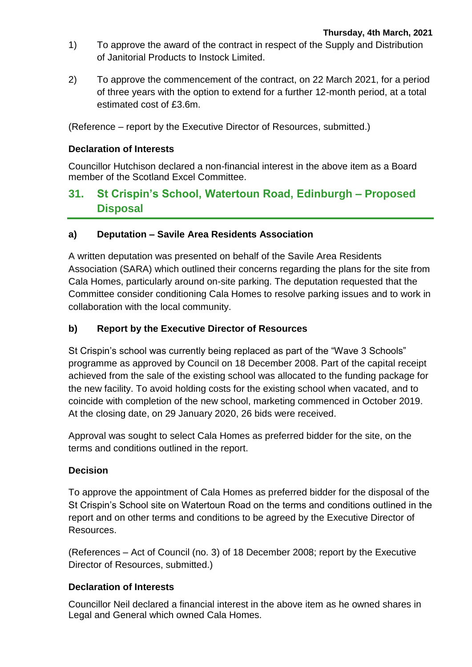- 1) To approve the award of the contract in respect of the Supply and Distribution of Janitorial Products to Instock Limited.
- 2) To approve the commencement of the contract, on 22 March 2021, for a period of three years with the option to extend for a further 12-month period, at a total estimated cost of £3.6m.

(Reference – report by the Executive Director of Resources, submitted.)

#### **Declaration of Interests**

Councillor Hutchison declared a non-financial interest in the above item as a Board member of the Scotland Excel Committee.

### **31. St Crispin's School, Watertoun Road, Edinburgh – Proposed Disposal**

#### **a) Deputation – Savile Area Residents Association**

A written deputation was presented on behalf of the Savile Area Residents Association (SARA) which outlined their concerns regarding the plans for the site from Cala Homes, particularly around on-site parking. The deputation requested that the Committee consider conditioning Cala Homes to resolve parking issues and to work in collaboration with the local community.

#### **b) Report by the Executive Director of Resources**

St Crispin's school was currently being replaced as part of the "Wave 3 Schools" programme as approved by Council on 18 December 2008. Part of the capital receipt achieved from the sale of the existing school was allocated to the funding package for the new facility. To avoid holding costs for the existing school when vacated, and to coincide with completion of the new school, marketing commenced in October 2019. At the closing date, on 29 January 2020, 26 bids were received.

Approval was sought to select Cala Homes as preferred bidder for the site, on the terms and conditions outlined in the report.

#### **Decision**

To approve the appointment of Cala Homes as preferred bidder for the disposal of the St Crispin's School site on Watertoun Road on the terms and conditions outlined in the report and on other terms and conditions to be agreed by the Executive Director of Resources.

(References – Act of Council (no. 3) of 18 December 2008; report by the Executive Director of Resources, submitted.)

#### **Declaration of Interests**

Councillor Neil declared a financial interest in the above item as he owned shares in Legal and General which owned Cala Homes.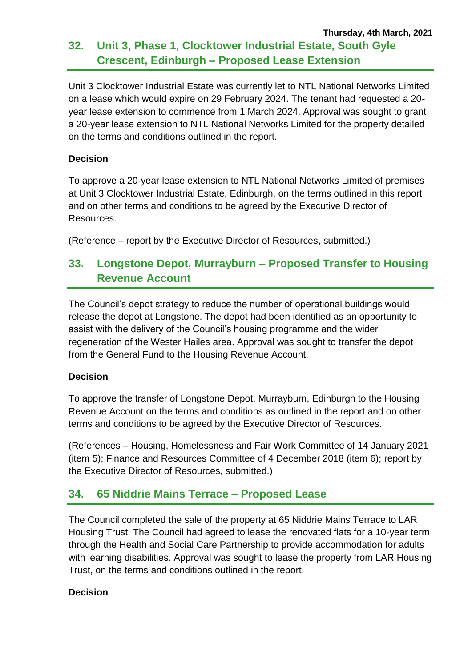#### **Thursday, 4th March, 2021 32. Unit 3, Phase 1, Clocktower Industrial Estate, South Gyle Crescent, Edinburgh – Proposed Lease Extension**

Unit 3 Clocktower Industrial Estate was currently let to NTL National Networks Limited on a lease which would expire on 29 February 2024. The tenant had requested a 20 year lease extension to commence from 1 March 2024. Approval was sought to grant a 20-year lease extension to NTL National Networks Limited for the property detailed on the terms and conditions outlined in the report.

#### **Decision**

To approve a 20-year lease extension to NTL National Networks Limited of premises at Unit 3 Clocktower Industrial Estate, Edinburgh, on the terms outlined in this report and on other terms and conditions to be agreed by the Executive Director of Resources.

(Reference – report by the Executive Director of Resources, submitted.)

# **33. Longstone Depot, Murrayburn – Proposed Transfer to Housing Revenue Account**

The Council's depot strategy to reduce the number of operational buildings would release the depot at Longstone. The depot had been identified as an opportunity to assist with the delivery of the Council's housing programme and the wider regeneration of the Wester Hailes area. Approval was sought to transfer the depot from the General Fund to the Housing Revenue Account.

#### **Decision**

To approve the transfer of Longstone Depot, Murrayburn, Edinburgh to the Housing Revenue Account on the terms and conditions as outlined in the report and on other terms and conditions to be agreed by the Executive Director of Resources.

(References – Housing, Homelessness and Fair Work Committee of 14 January 2021 (item 5); Finance and Resources Committee of 4 December 2018 (item 6); report by the Executive Director of Resources, submitted.)

### **34. 65 Niddrie Mains Terrace – Proposed Lease**

The Council completed the sale of the property at 65 Niddrie Mains Terrace to LAR Housing Trust. The Council had agreed to lease the renovated flats for a 10-year term through the Health and Social Care Partnership to provide accommodation for adults with learning disabilities. Approval was sought to lease the property from LAR Housing Trust, on the terms and conditions outlined in the report.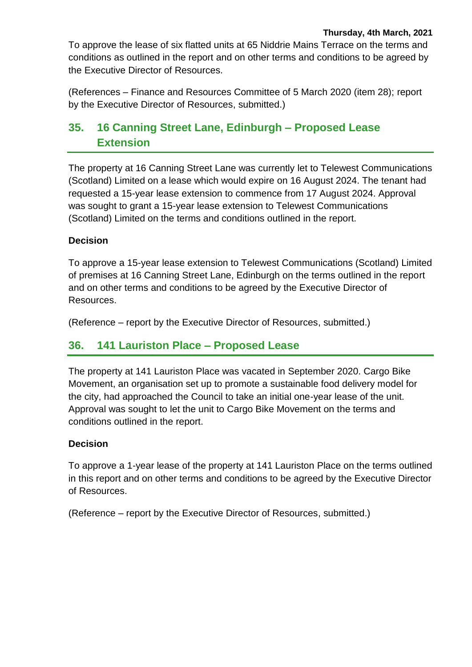To approve the lease of six flatted units at 65 Niddrie Mains Terrace on the terms and conditions as outlined in the report and on other terms and conditions to be agreed by the Executive Director of Resources.

(References – Finance and Resources Committee of 5 March 2020 (item 28); report by the Executive Director of Resources, submitted.)

# **35. 16 Canning Street Lane, Edinburgh – Proposed Lease Extension**

The property at 16 Canning Street Lane was currently let to Telewest Communications (Scotland) Limited on a lease which would expire on 16 August 2024. The tenant had requested a 15-year lease extension to commence from 17 August 2024. Approval was sought to grant a 15-year lease extension to Telewest Communications (Scotland) Limited on the terms and conditions outlined in the report.

#### **Decision**

To approve a 15-year lease extension to Telewest Communications (Scotland) Limited of premises at 16 Canning Street Lane, Edinburgh on the terms outlined in the report and on other terms and conditions to be agreed by the Executive Director of Resources.

(Reference – report by the Executive Director of Resources, submitted.)

### **36. 141 Lauriston Place – Proposed Lease**

The property at 141 Lauriston Place was vacated in September 2020. Cargo Bike Movement, an organisation set up to promote a sustainable food delivery model for the city, had approached the Council to take an initial one-year lease of the unit. Approval was sought to let the unit to Cargo Bike Movement on the terms and conditions outlined in the report.

#### **Decision**

To approve a 1-year lease of the property at 141 Lauriston Place on the terms outlined in this report and on other terms and conditions to be agreed by the Executive Director of Resources.

(Reference – report by the Executive Director of Resources, submitted.)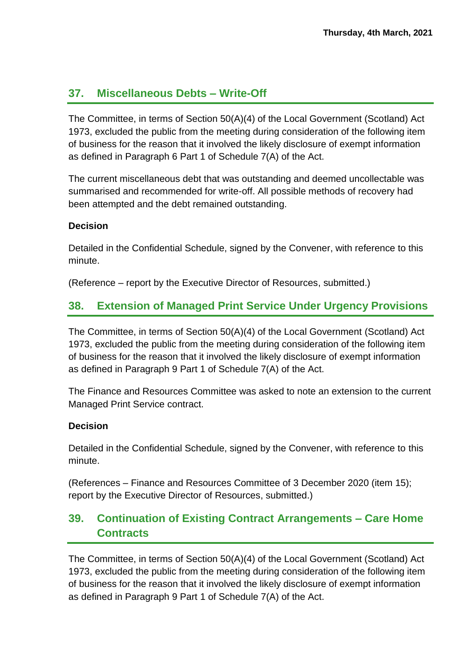### **37. Miscellaneous Debts – Write-Off**

The Committee, in terms of Section 50(A)(4) of the Local Government (Scotland) Act 1973, excluded the public from the meeting during consideration of the following item of business for the reason that it involved the likely disclosure of exempt information as defined in Paragraph 6 Part 1 of Schedule 7(A) of the Act.

The current miscellaneous debt that was outstanding and deemed uncollectable was summarised and recommended for write-off. All possible methods of recovery had been attempted and the debt remained outstanding.

#### **Decision**

Detailed in the Confidential Schedule, signed by the Convener, with reference to this minute.

(Reference – report by the Executive Director of Resources, submitted.)

# **38. Extension of Managed Print Service Under Urgency Provisions**

The Committee, in terms of Section 50(A)(4) of the Local Government (Scotland) Act 1973, excluded the public from the meeting during consideration of the following item of business for the reason that it involved the likely disclosure of exempt information as defined in Paragraph 9 Part 1 of Schedule 7(A) of the Act.

The Finance and Resources Committee was asked to note an extension to the current Managed Print Service contract.

#### **Decision**

Detailed in the Confidential Schedule, signed by the Convener, with reference to this minute.

(References – Finance and Resources Committee of 3 December 2020 (item 15); report by the Executive Director of Resources, submitted.)

# **39. Continuation of Existing Contract Arrangements – Care Home Contracts**

The Committee, in terms of Section 50(A)(4) of the Local Government (Scotland) Act 1973, excluded the public from the meeting during consideration of the following item of business for the reason that it involved the likely disclosure of exempt information as defined in Paragraph 9 Part 1 of Schedule 7(A) of the Act.